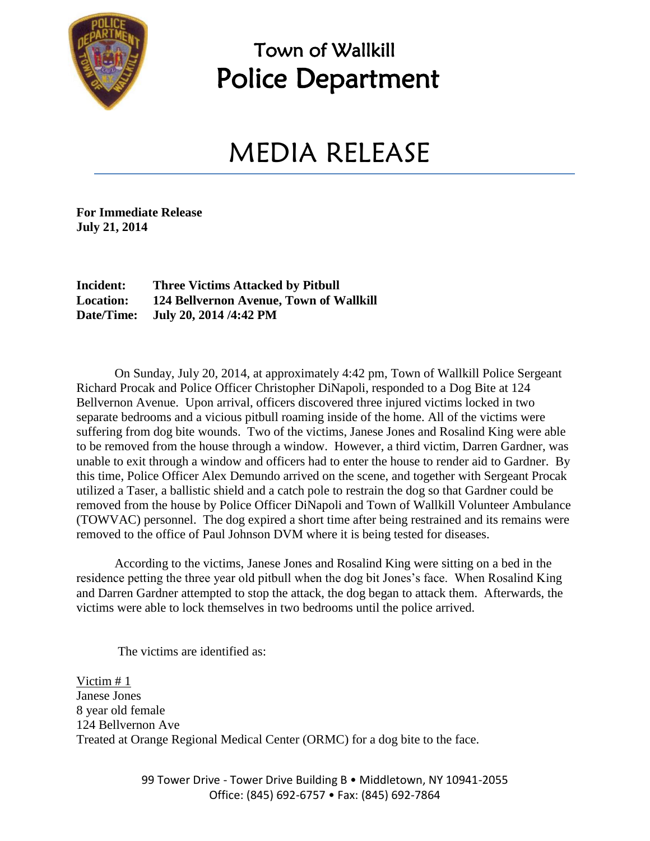

## Town of Wallkill Police Department

## MEDIA RELEASE

**For Immediate Release July 21, 2014**

**Incident: Three Victims Attacked by Pitbull Location: 124 Bellvernon Avenue, Town of Wallkill Date/Time: July 20, 2014 /4:42 PM**

On Sunday, July 20, 2014, at approximately 4:42 pm, Town of Wallkill Police Sergeant Richard Procak and Police Officer Christopher DiNapoli, responded to a Dog Bite at 124 Bellvernon Avenue. Upon arrival, officers discovered three injured victims locked in two separate bedrooms and a vicious pitbull roaming inside of the home. All of the victims were suffering from dog bite wounds. Two of the victims, Janese Jones and Rosalind King were able to be removed from the house through a window. However, a third victim, Darren Gardner, was unable to exit through a window and officers had to enter the house to render aid to Gardner. By this time, Police Officer Alex Demundo arrived on the scene, and together with Sergeant Procak utilized a Taser, a ballistic shield and a catch pole to restrain the dog so that Gardner could be removed from the house by Police Officer DiNapoli and Town of Wallkill Volunteer Ambulance (TOWVAC) personnel. The dog expired a short time after being restrained and its remains were removed to the office of Paul Johnson DVM where it is being tested for diseases.

According to the victims, Janese Jones and Rosalind King were sitting on a bed in the residence petting the three year old pitbull when the dog bit Jones's face. When Rosalind King and Darren Gardner attempted to stop the attack, the dog began to attack them. Afterwards, the victims were able to lock themselves in two bedrooms until the police arrived.

The victims are identified as:

Victim # 1 Janese Jones 8 year old female 124 Bellvernon Ave Treated at Orange Regional Medical Center (ORMC) for a dog bite to the face.

> 99 Tower Drive - Tower Drive Building B · Middletown, NY 10941-2055 Office: (845) 692-6757 • Fax: (845) 692-7864